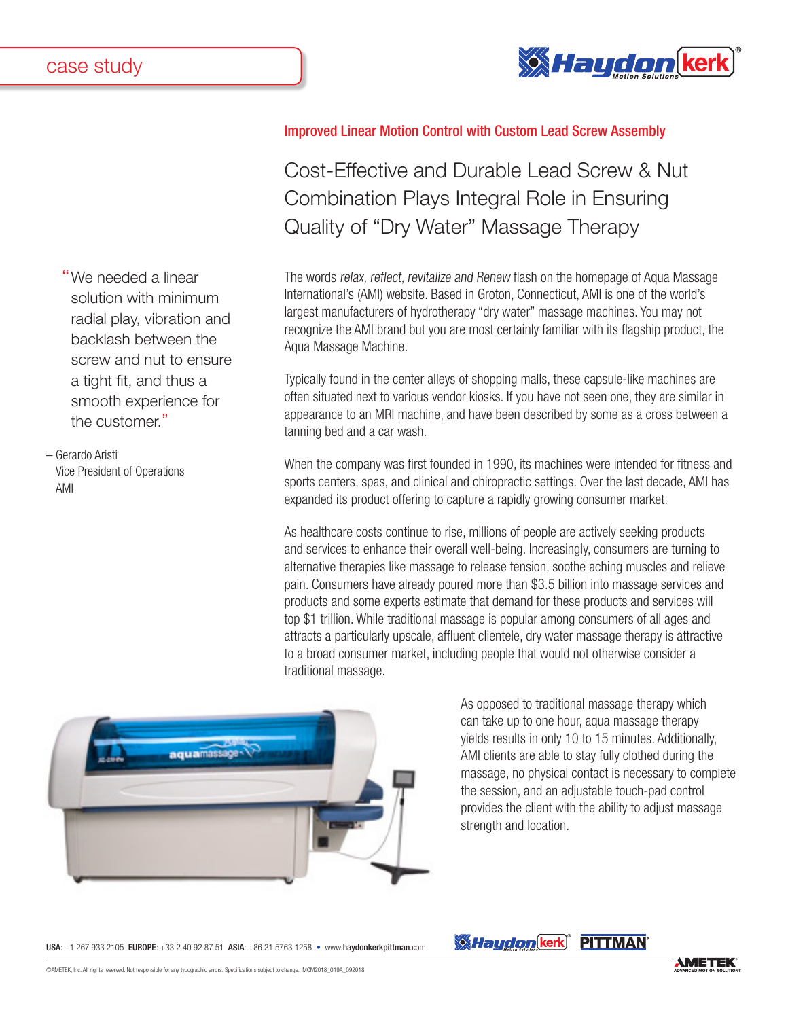

"We needed a linear solution with minimum radial play, vibration and backlash between the screw and nut to ensure a tight fit, and thus a smooth experience for the customer."

– Gerardo Aristi Vice President of Operations AMI

## Improved Linear Motion Control with Custom Lead Screw Assembly

Cost-Effective and Durable Lead Screw & Nut Combination Plays Integral Role in Ensuring Quality of "Dry Water" Massage Therapy

The words relax, reflect, revitalize and Renew flash on the homepage of Aqua Massage International's (AMI) website. Based in Groton, Connecticut, AMI is one of the world's largest manufacturers of hydrotherapy "dry water" massage machines. You may not recognize the AMI brand but you are most certainly familiar with its flagship product, the Aqua Massage Machine.

Typically found in the center alleys of shopping malls, these capsule-like machines are often situated next to various vendor kiosks. If you have not seen one, they are similar in appearance to an MRI machine, and have been described by some as a cross between a tanning bed and a car wash.

When the company was first founded in 1990, its machines were intended for fitness and sports centers, spas, and clinical and chiropractic settings. Over the last decade, AMI has expanded its product offering to capture a rapidly growing consumer market.

As healthcare costs continue to rise, millions of people are actively seeking products and services to enhance their overall well-being. Increasingly, consumers are turning to alternative therapies like massage to release tension, soothe aching muscles and relieve pain. Consumers have already poured more than \$3.5 billion into massage services and products and some experts estimate that demand for these products and services will top \$1 trillion. While traditional massage is popular among consumers of all ages and attracts a particularly upscale, affluent clientele, dry water massage therapy is attractive to a broad consumer market, including people that would not otherwise consider a traditional massage.



As opposed to traditional massage therapy which can take up to one hour, aqua massage therapy yields results in only 10 to 15 minutes. Additionally, AMI clients are able to stay fully clothed during the massage, no physical contact is necessary to complete the session, and an adjustable touch-pad control provides the client with the ability to adjust massage strength and location.

USA: +1 267 933 2105 EUROPE: +33 2 40 92 87 51 ASIA: +86 21 5763 1258 • www.haydonkerkpittman.com

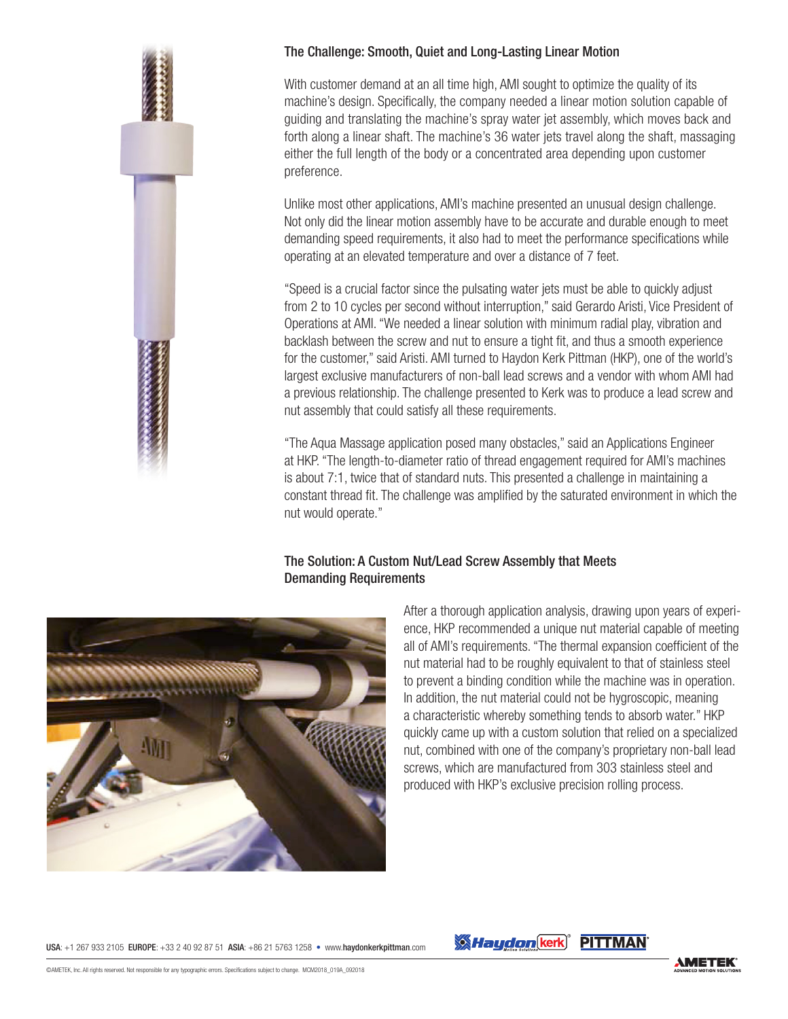## The Challenge: Smooth, Quiet and Long-Lasting Linear Motion

With customer demand at an all time high, AMI sought to optimize the quality of its machine's design. Specifically, the company needed a linear motion solution capable of guiding and translating the machine's spray water jet assembly, which moves back and forth along a linear shaft. The machine's 36 water jets travel along the shaft, massaging either the full length of the body or a concentrated area depending upon customer preference.

Unlike most other applications, AMI's machine presented an unusual design challenge. Not only did the linear motion assembly have to be accurate and durable enough to meet demanding speed requirements, it also had to meet the performance specifications while operating at an elevated temperature and over a distance of 7 feet.

"Speed is a crucial factor since the pulsating water jets must be able to quickly adjust from 2 to 10 cycles per second without interruption," said Gerardo Aristi, Vice President of Operations at AMI. "We needed a linear solution with minimum radial play, vibration and backlash between the screw and nut to ensure a tight fit, and thus a smooth experience for the customer," said Aristi. AMI turned to Haydon Kerk Pittman (HKP), one of the world's largest exclusive manufacturers of non-ball lead screws and a vendor with whom AMI had a previous relationship. The challenge presented to Kerk was to produce a lead screw and nut assembly that could satisfy all these requirements.

"The Aqua Massage application posed many obstacles," said an Applications Engineer at HKP. "The length-to-diameter ratio of thread engagement required for AMI's machines is about 7:1, twice that of standard nuts. This presented a challenge in maintaining a constant thread fit. The challenge was amplified by the saturated environment in which the nut would operate."

## The Solution: A Custom Nut/Lead Screw Assembly that Meets Demanding Requirements



After a thorough application analysis, drawing upon years of experience, HKP recommended a unique nut material capable of meeting all of AMI's requirements. "The thermal expansion coefficient of the nut material had to be roughly equivalent to that of stainless steel to prevent a binding condition while the machine was in operation. In addition, the nut material could not be hygroscopic, meaning a characteristic whereby something tends to absorb water." HKP quickly came up with a custom solution that relied on a specialized nut, combined with one of the company's proprietary non-ball lead screws, which are manufactured from 303 stainless steel and produced with HKP's exclusive precision rolling process.

USA: +1 267 933 2105 EUROPE: +33 2 40 92 87 51 ASIA: +86 21 5763 1258 • www.haydonkerkpittman.com